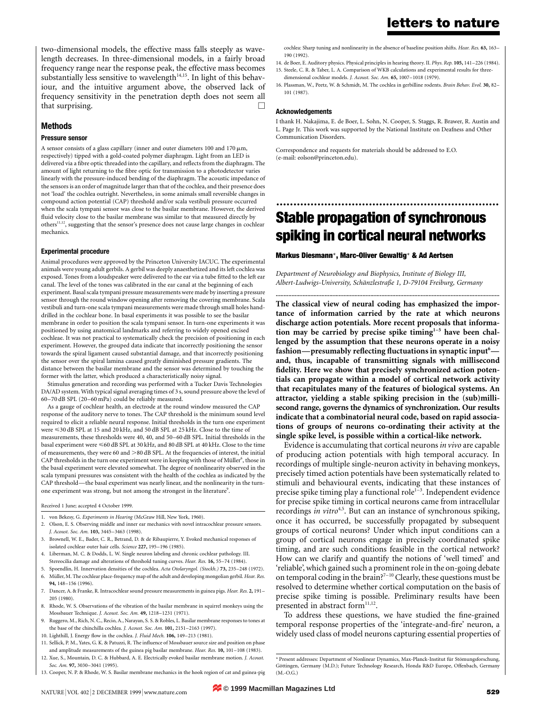# letters to nature

two-dimensional models, the effective mass falls steeply as wavelength decreases. In three-dimensional models, in a fairly broad frequency range near the response peak, the effective mass becomes substantially less sensitive to wavelength $14,15$ . In light of this behaviour, and the intuitive argument above, the observed lack of frequency sensitivity in the penetration depth does not seem all that surprising.

## Methods

## Pressure sensor

A sensor consists of a glass capillary (inner and outer diameters  $100$  and  $170 \,\mu m$ , respectively) tipped with a gold-coated polymer diaphragm. Light from an LED is delivered via a fibre optic threaded into the capillary, and reflects from the diaphragm. The amount of light returning to the fibre optic for transmission to a photodetector varies linearly with the pressure-induced bending of the diaphragm. The acoustic impedance of the sensors is an order of magnitude larger than that of the cochlea, and their presence does not 'load' the cochlea outright. Nevertheless, in some animals small reversible changes in compound action potential (CAP) threshold and/or scala vestibuli pressure occurred when the scala tympani sensor was close to the basilar membrane. However, the derived fluid velocity close to the basilar membrane was similar to that measured directly by others<sup>11,12</sup>, suggesting that the sensor's presence does not cause large changes in cochlear mechanics.

## Experimental procedure

Animal procedures were approved by the Princeton University IACUC. The experimental animals were young adult gerbils. A gerbil was deeply anaesthetized and its left cochlea was exposed. Tones from a loudspeaker were delivered to the ear via a tube fitted to the left ear canal. The level of the tones was calibrated in the ear canal at the beginning of each experiment. Basal scala tympani pressure measurements were made by inserting a pressure sensor through the round window opening after removing the covering membrane. Scala vestibuli and turn-one scala tympani measurements were made through small holes handdrilled in the cochlear bone. In basal experiments it was possible to see the basilar membrane in order to position the scala tympani sensor. In turn-one experiments it was positioned by using anatomical landmarks and referring to widely opened excised cochleae. It was not practical to systematically check the precision of positioning in each experiment. However, the grouped data indicate that incorrectly positioning the sensor towards the spiral ligament caused substantial damage, and that incorrectly positioning the sensor over the spiral lamina caused greatly diminished pressure gradients. The distance between the basilar membrane and the sensor was determined by touching the former with the latter, which produced a characteristically noisy signal.

Stimulus generation and recording was performed with a Tucker Davis Technologies DA/AD system. With typical signal averaging times of 3 s, sound pressure above the level of 60-70 dB SPL (20-60 mPa) could be reliably measured.

As a gauge of cochlear health, an electrode at the round window measured the CAP response of the auditory nerve to tones. The CAP threshold is the minimum sound level required to elicit a reliable neural response. Initial thresholds in the turn one experiment were <30 dB SPL at 15 and 20 kHz, and 50 dB SPL at 25 kHz. Close to the time of measurements, these thresholds were 40, 40, and 50-60 dB SPL. Initial thresholds in the basal experiment were <60 dB SPL at 30 kHz, and 80 dB SPL at 40 kHz. Close to the time of measurements, they were  $60$  and  $>80$  dB SPL. At the frequencies of interest, the initial CAP thresholds in the turn one experiment were in keeping with those of Müller<sup>6</sup>, those in the basal experiment were elevated somewhat. The degree of nonlinearity observed in the scala tympani pressures was consistent with the health of the cochlea as indicated by the CAP threshold—the basal experiment was nearly linear, and the nonlinearity in the turnone experiment was strong, but not among the strongest in the literature<sup>9</sup>.

Received 1 June; accepted 4 October 1999.

- 1. von Bekesy, G. Experiments in Hearing (McGraw Hill, New York, 1960).
- 2. Olson, E. S. Observing middle and inner ear mechanics with novel intracochlear pressure sensors. J. Acoust. Soc. Am. 103, 3445-3463 (1998).
- 3. Brownell, W. E., Bader, C. R., Betrand, D. & de Ribaupierre, Y. Evoked mechanical responses of isolated cochlear outer hair cells. Science 227, 195-196 (1985).
- 4. Liberman, M. C. & Dodds, L. W. Single neuron labeling and chronic cochlear pathology. III.
- Stereocilia damage and alterations of threshold tuning curves. Hear. Res. 16, 55-74 (1984). 5. Spoendlin, H. Innervation densities of the cochlea. Acta Otolaryngol. (Stockh.) 73, 235-248 (1972).
- 6. Müller, M. The cochlear place-frequency map of the adult and developing mongolian gerbil. Hear. Res. 94, 148-156 (1996).
- 7. Dancer, A. & Franke, R. Intracochlear sound pressure measurements in guinea pigs. Hear. Res. 2, 191-205 (1980).
- 8. Rhode, W. S. Observations of the vibration of the basilar membrane in squirrel monkeys using the Mossbauer Technique. J. Acoust. Soc. Am. 49, 1218-1231 (1971).
- 9. Ruggero, M., Rich, N. C., Recio, A., Narayan, S. S. & Robles, L. Basilar membrane responses to tones at the base of the chinchilla cochlea. J. Acoust. Soc. Am. 101, 2151-2163 (1997).
- 10. Lighthill, J. Energy flow in the cochlea. J. Fluid Mech. 106, 149-213 (1981).
- 11. Sellick, P. M., Yates, G. K. & Patuzzi, R. The influence of Mossbauer source size and position on phase
- and amplitude measurements of the guinea pig basilar membrane. *Hear. Res.* 10, 101 $-108$  (1983). 12. Xue, S., Mountain, D. C. & Hubbard, A. E. Electrically evoked basilar membrane motion. J. Acoust.
- Soc. Am. 97, 3030-3041 (1995).
- 13. Cooper, N. P. & Rhode, W. S. Basilar membrane mechanics in the hook region of cat and guinea-pig

cochlea: Sharp tuning and nonlinearity in the absence of baseline position shifts. Hear. Res. 63, 163-190 (1992).

- 14. de Boer, E. Auditory physics. Physical principles in hearing theory. II. Phys. Rep. 105, 141-226 (1984). 15. Steele, C. R. & Taber, L. A. Comparison of WKB calculations and experimental results for three-
- dimensional cochlear models. J. Acoust. Soc. Am. 65, 1007-1018 (1979). 16. Plassman, W., Peetz, W. & Schmidt, M. The cochlea in gerbilline rodents. Brain Behav. Evol. 30, 82-
- 101 (1987).

## **Acknowledgements**

I thank H. Nakajima, E. de Boer, L. Sohn, N. Cooper, S. Staggs, R. Brawer, R. Austin and L. Page Jr. This work was supported by the National Institute on Deafness and Other Communication Disorders.

Correspondence and requests for materials should be addressed to E.O. (e-mail: eolson@princeton.edu).

# ................................................................. Stable propagation of synchronous spiking in cortical neural networks

## Markus Diesmann\*, Marc-Oliver Gewaltig\* & Ad Aertsen

Department of Neurobiology and Biophysics, Institute of Biology III, Albert-Ludwigs-University, Schänzlestraße 1, D-79104 Freiburg, Germany

..............................................................................................................................................

The classical view of neural coding has emphasized the importance of information carried by the rate at which neurons discharge action potentials. More recent proposals that information may be carried by precise spike timing<sup>1-5</sup> have been challenged by the assumption that these neurons operate in a noisy fashion—presumably reflecting fluctuations in synaptic input $\rm ^6$ and, thus, incapable of transmitting signals with millisecond fidelity. Here we show that precisely synchronized action potentials can propagate within a model of cortical network activity that recapitulates many of the features of biological systems. An attractor, yielding a stable spiking precision in the (sub)millisecond range, governs the dynamics of synchronization. Our results indicate that a combinatorial neural code, based on rapid associations of groups of neurons co-ordinating their activity at the single spike level, is possible within a cortical-like network.

Evidence is accumulating that cortical neurons in vivo are capable of producing action potentials with high temporal accuracy. In recordings of multiple single-neuron activity in behaving monkeys, precisely timed action potentials have been systematically related to stimuli and behavioural events, indicating that these instances of precise spike timing play a functional role<sup>1-3</sup>. Independent evidence for precise spike timing in cortical neurons came from intracellular recordings in vitro<sup>4,5</sup>. But can an instance of synchronous spiking, once it has occurred, be successfully propagated by subsequent groups of cortical neurons? Under which input conditions can a group of cortical neurons engage in precisely coordinated spike timing, and are such conditions feasible in the cortical network? How can we clarify and quantify the notions of 'well timed' and `reliable', which gained such a prominent role in the on-going debate on temporal coding in the brain?<sup>7-10</sup> Clearly, these questions must be resolved to determine whether cortical computation on the basis of precise spike timing is possible. Preliminary results have been presented in abstract form<sup>11,12</sup>.

To address these questions, we have studied the fine-grained temporal response properties of the 'integrate-and-fire' neuron, a widely used class of model neurons capturing essential properties of

<sup>\*</sup> Present addresses: Department of Nonlinear Dynamics, Max-Planck-Institut für Stömungsforschung, Göttingen, Germany (M.D.); Future Technology Research, Honda R&D Europe, Offenbach, Germany  $(M.-O.G.)$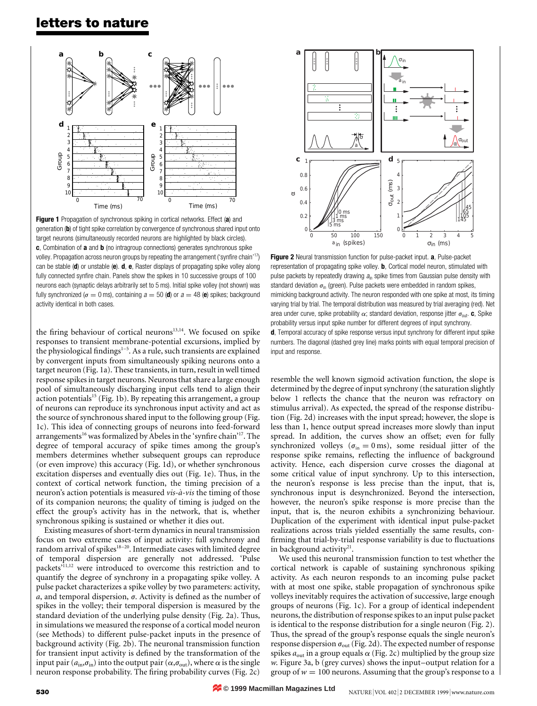## letters to nature



Figure 1 Propagation of synchronous spiking in cortical networks. Effect (a) and generation (b) of tight spike correlation by convergence of synchronous shared input onto target neurons (simultaneously recorded neurons are highlighted by black circles). c, Combination of a and **b** (no intragroup connections) generates synchronous spike volley. Propagation across neuron groups by repeating the arrangement ('synfire chain'<sup>17</sup>) can be stable  $(d)$  or unstable  $(e)$ .  $d$ ,  $e$ , Raster displays of propagating spike volley along fully connected synfire chain. Panels show the spikes in 10 successive groups of 100 neurons each (synaptic delays arbitrarily set to 5 ms). Initial spike volley (not shown) was fully synchronized ( $\sigma = 0$  ms), containing  $a = 50$  (d) or  $a = 48$  (e) spikes; background activity identical in both cases.

the firing behaviour of cortical neurons $13,14$ . We focused on spike responses to transient membrane-potential excursions, implied by the physiological findings<sup>1-5</sup>. As a rule, such transients are explained by convergent inputs from simultaneously spiking neurons onto a target neuron (Fig. 1a). These transients, in turn, result in well timed response spikes in target neurons. Neurons that share a large enough pool of simultaneously discharging input cells tend to align their action potentials<sup>15</sup> (Fig. 1b). By repeating this arrangement, a group of neurons can reproduce its synchronous input activity and act as the source of synchronous shared input to the following group (Fig. 1c). This idea of connecting groups of neurons into feed-forward arrangements<sup>16</sup> was formalized by Abeles in the 'synfire chain'<sup>17</sup>. The degree of temporal accuracy of spike times among the group's members determines whether subsequent groups can reproduce (or even improve) this accuracy (Fig. 1d), or whether synchronous excitation disperses and eventually dies out (Fig. 1e). Thus, in the context of cortical network function, the timing precision of a neuron's action potentials is measured  $vis-\hat{a}-vis$  the timing of those of its companion neurons; the quality of timing is judged on the effect the group's activity has in the network, that is, whether synchronous spiking is sustained or whether it dies out.

Existing measures of short-term dynamics in neural transmission focus on two extreme cases of input activity: full synchrony and random arrival of spikes<sup>18-20</sup>. Intermediate cases with limited degree of temporal dispersion are generally not addressed. `Pulse packets<sup>21,112</sup> were introduced to overcome this restriction and to quantify the degree of synchrony in a propagating spike volley. A pulse packet characterizes a spike volley by two parameters: activity,  $a$ , and temporal dispersion,  $\sigma$ . Activity is defined as the number of spikes in the volley; their temporal dispersion is measured by the standard deviation of the underlying pulse density (Fig. 2a). Thus, in simulations we measured the response of a cortical model neuron (see Methods) to different pulse-packet inputs in the presence of background activity (Fig. 2b). The neuronal transmission function for transient input activity is defined by the transformation of the input pair ( $a_{\rm in},\sigma_{\rm in}$ ) into the output pair ( $\alpha,\sigma_{\rm out}$ ), where  $\alpha$  is the single neuron response probability. The firing probability curves (Fig. 2c)



Figure 2 Neural transmission function for pulse-packet input. a, Pulse-packet representation of propagating spike volley. b, Cortical model neuron, stimulated with pulse packets by repeatedly drawing  $a_{\text{in}}$  spike times from Gaussian pulse density with standard deviation  $\sigma_{\text{in}}$  (green). Pulse packets were embedded in random spikes, mimicking background activity. The neuron responded with one spike at most, its timing varying trial by trial. The temporal distribution was measured by trial averaging (red). Net area under curve, spike probability  $\alpha$ ; standard deviation, response jitter  $\sigma_{\text{out}}$ . c, Spike probability versus input spike number for different degrees of input synchrony. d, Temporal accuracy of spike response versus input synchrony for different input spike numbers. The diagonal (dashed grey line) marks points with equal temporal precision of input and response.

resemble the well known sigmoid activation function, the slope is determined by the degree of input synchrony (the saturation slightly below 1 reflects the chance that the neuron was refractory on stimulus arrival). As expected, the spread of the response distribution (Fig. 2d) increases with the input spread; however, the slope is less than 1, hence output spread increases more slowly than input spread. In addition, the curves show an offset; even for fully synchronized volleys ( $\sigma_{\text{in}} = 0$  ms), some residual jitter of the response spike remains, reflecting the influence of background activity. Hence, each dispersion curve crosses the diagonal at some critical value of input synchrony. Up to this intersection, the neuron's response is less precise than the input, that is, synchronous input is desynchronized. Beyond the intersection, however, the neuron's spike response is more precise than the input, that is, the neuron exhibits a synchronizing behaviour. Duplication of the experiment with identical input pulse-packet realizations across trials yielded essentially the same results, con firming that trial-by-trial response variability is due to fluctuations in background activity<sup>21</sup>.

We used this neuronal transmission function to test whether the cortical network is capable of sustaining synchronous spiking activity. As each neuron responds to an incoming pulse packet with at most one spike, stable propagation of synchronous spike volleys inevitably requires the activation of successive, large enough groups of neurons (Fig. 1c). For a group of identical independent neurons, the distribution of response spikes to an input pulse packet is identical to the response distribution for a single neuron (Fig. 2). Thus, the spread of the group's response equals the single neuron's response dispersion  $\sigma_{\text{out}}$  (Fig. 2d). The expected number of response spikes  $a_{\text{out}}$  in a group equals  $\alpha$  (Fig. 2c) multiplied by the group size w. Figure 3a, b (grey curves) shows the input-output relation for a group of  $w = 100$  neurons. Assuming that the group's response to a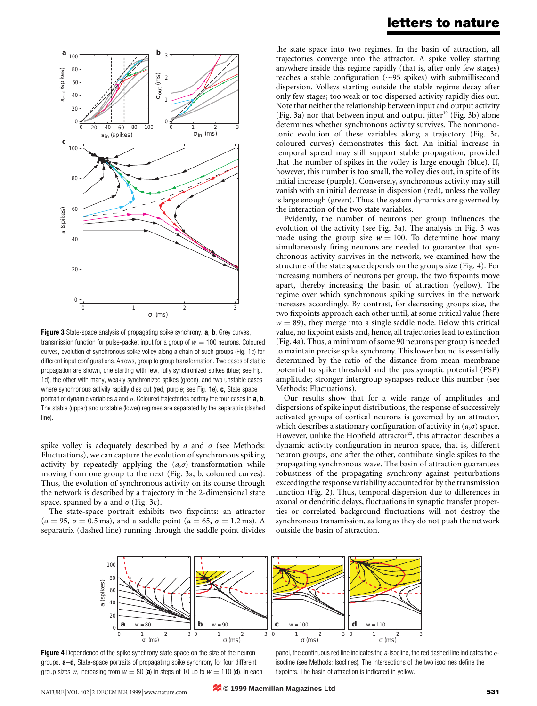

Figure 3 State-space analysis of propagating spike synchrony. a, b, Grey curves, transmission function for pulse-packet input for a group of  $w = 100$  neurons. Coloured curves, evolution of synchronous spike volley along a chain of such groups (Fig. 1c) for different input configurations. Arrows, group to group transformation. Two cases of stable propagation are shown, one starting with few, fully synchronized spikes (blue; see Fig. 1d), the other with many, weakly synchronized spikes (green), and two unstable cases where synchronous activity rapidly dies out (red, purple; see Fig. 1e). c, State space portrait of dynamic variables a and  $\sigma$ . Coloured trajectories portray the four cases in a, b. The stable (upper) and unstable (lower) regimes are separated by the separatrix (dashed line).

spike volley is adequately described by  $a$  and  $\sigma$  (see Methods: Fluctuations), we can capture the evolution of synchronous spiking activity by repeatedly applying the  $(a,\sigma)$ -transformation while moving from one group to the next (Fig. 3a, b, coloured curves). Thus, the evolution of synchronous activity on its course through the network is described by a trajectory in the 2-dimensional state space, spanned by  $a$  and  $\sigma$  (Fig. 3c).

The state-space portrait exhibits two fixpoints: an attractor  $(a = 95, \sigma = 0.5 \text{ ms})$ , and a saddle point  $(a = 65, \sigma = 1.2 \text{ ms})$ . A separatrix (dashed line) running through the saddle point divides

## letters to nature

the state space into two regimes. In the basin of attraction, all trajectories converge into the attractor. A spike volley starting anywhere inside this regime rapidly (that is, after only few stages) reaches a stable configuration ( $\sim$ 95 spikes) with submillisecond dispersion. Volleys starting outside the stable regime decay after only few stages; too weak or too dispersed activity rapidly dies out. Note that neither the relationship between input and output activity (Fig. 3a) nor that between input and output jitter<sup>10</sup> (Fig. 3b) alone determines whether synchronous activity survives. The nonmonotonic evolution of these variables along a trajectory (Fig. 3c, coloured curves) demonstrates this fact. An initial increase in temporal spread may still support stable propagation, provided that the number of spikes in the volley is large enough (blue). If, however, this number is too small, the volley dies out, in spite of its initial increase (purple). Conversely, synchronous activity may still vanish with an initial decrease in dispersion (red), unless the volley is large enough (green). Thus, the system dynamics are governed by the interaction of the two state variables.

Evidently, the number of neurons per group influences the evolution of the activity (see Fig. 3a). The analysis in Fig. 3 was made using the group size  $w = 100$ . To determine how many simultaneously firing neurons are needed to guarantee that synchronous activity survives in the network, we examined how the structure of the state space depends on the groups size (Fig. 4). For increasing numbers of neurons per group, the two fixpoints move apart, thereby increasing the basin of attraction (yellow). The regime over which synchronous spiking survives in the network increases accordingly. By contrast, for decreasing groups size, the two fixpoints approach each other until, at some critical value (here  $w = 89$ ), they merge into a single saddle node. Below this critical value, no fixpoint exists and, hence, all trajectories lead to extinction (Fig. 4a). Thus, a minimum of some 90 neurons per group is needed to maintain precise spike synchrony. This lower bound is essentially determined by the ratio of the distance from mean membrane potential to spike threshold and the postsynaptic potential (PSP) amplitude; stronger intergroup synapses reduce this number (see Methods: Fluctuations).

Our results show that for a wide range of amplitudes and dispersions of spike input distributions, the response of successively activated groups of cortical neurons is governed by an attractor, which describes a stationary configuration of activity in  $(a,\sigma)$  space. However, unlike the Hopfield attractor<sup>22</sup>, this attractor describes a dynamic activity configuration in neuron space, that is, different neuron groups, one after the other, contribute single spikes to the propagating synchronous wave. The basin of attraction guarantees robustness of the propagating synchrony against perturbations exceeding the response variability accounted for by the transmission function (Fig. 2). Thus, temporal dispersion due to differences in axonal or dendritic delays, fluctuations in synaptic transfer properties or correlated background fluctuations will not destroy the synchronous transmission, as long as they do not push the network outside the basin of attraction.



Figure 4 Dependence of the spike synchrony state space on the size of the neuron groups.  $a-d$ , State-space portraits of propagating spike synchrony for four different group sizes w, increasing from  $w = 80$  (a) in steps of 10 up to  $w = 110$  (d). In each

panel, the continuous red line indicates the  $a$ -isocline, the red dashed line indicates the  $\sigma$ isocline (see Methods: Isoclines). The intersections of the two isoclines define the fixpoints. The basin of attraction is indicated in yellow.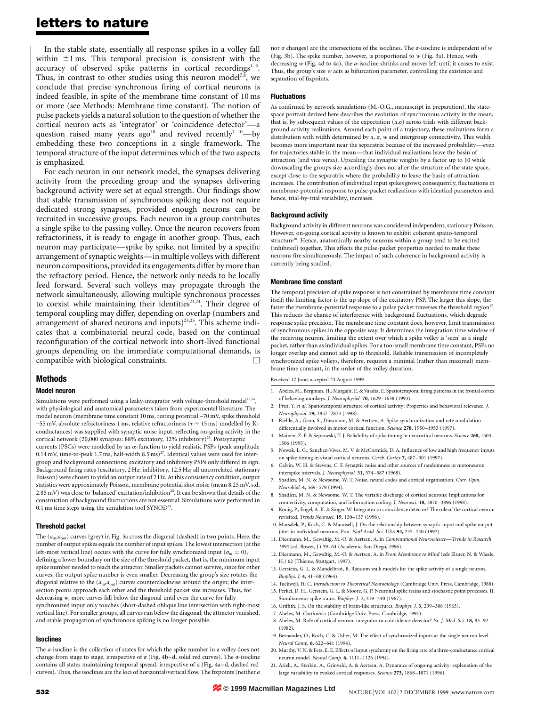## letters to nature

In the stable state, essentially all response spikes in a volley fall within  $\pm 1$  ms. This temporal precision is consistent with the accuracy of observed spike patterns in cortical recordings $1-3$ . Thus, in contrast to other studies using this neuron model<sup>7,8</sup>, we conclude that precise synchronous firing of cortical neurons is indeed feasible, in spite of the membrane time constant of 10 ms or more (see Methods: Membrane time constant). The notion of pulse packets yields a natural solution to the question of whether the cortical neuron acts as 'integrator' or 'coincidence detector'—a question raised many years ago<sup>18</sup> and revived recently<sup>7-10</sup>—by embedding these two conceptions in a single framework. The temporal structure of the input determines which of the two aspects is emphasized.

For each neuron in our network model, the synapses delivering activity from the preceding group and the synapses delivering background activity were set at equal strength. Our findings show that stable transmission of synchronous spiking does not require dedicated strong synapses, provided enough neurons can be recruited in successive groups. Each neuron in a group contributes a single spike to the passing volley. Once the neuron recovers from refractoriness, it is ready to engage in another group. Thus, each neuron may participate—spike by spike, not limited by a specific arrangement of synaptic weights—in multiple volleys with different neuron compositions, provided its engagements differ by more than the refractory period. Hence, the network only needs to be locally feed forward. Several such volleys may propagate through the network simultaneously, allowing multiple synchronous processes to coexist while maintaining their identities<sup>23,24</sup>. Their degree of temporal coupling may differ, depending on overlap (numbers and arrangement of shared neurons and inputs) $23,25$ . This scheme indicates that a combinatorial neural code, based on the continual reconfiguration of the cortical network into short-lived functional groups depending on the immediate computational demands, is compatible with biological constraints.

## Methods

## Model neuron

Simulations were performed using a leaky-integrator with voltage-threshold model<sup>13,14</sup>, with physiological and anatomical parameters taken from experimental literature. The model neuron (membrane time constant 10 ms, resting potential -70 mV, spike threshold  $-55$  mV, absolute refractoriness 1 ms, relative refractoriness ( $\tau \approx 15$  ms) modelled by Kconductances) was supplied with synaptic noise input, reflecting on-going activity in the cortical network (20,000 synapses: 88% excitatory, 12% inhibitory)<sup>26</sup>. Postsynaptic currents (PSCs) were modelled by an  $\alpha$ -function to yield realistic PSPs (peak amplitude

0.14 mV, time-to-peak 1.7 ms, half-width  $8.5 \text{ ms}$ )<sup>27</sup>. Identical values were used for intergroup and background connections; excitatory and inhibitory PSPs only differed in sign. Background firing rates (excitatory, 2 Hz; inhibitory, 12.5 Hz; all uncorrelated stationary Poisson) were chosen to yield an output rate of 2 Hz. At this consistency condition, output statistics were approximately Poisson, membrane potential shot noise (mean 8.25 mV, s.d.  $2.85\,\mathrm{mV})$  was close to 'balanced' excitation/inhibition<sup>28</sup>. It can be shown that details of the construction of background fluctuations are not essential. Simulations were performed in 0.1 ms time steps using the simulation tool SYNOD29.

#### Threshold packet

The  $(a_{in},a_{out})$  curves (grey) in Fig. 3a cross the diagonal (dashed) in two points. Here, the number of output spikes equals the number of input spikes. The lowest intersection (at the left-most vertical line) occurs with the curve for fully synchronized input ( $\sigma_{\text{in}} = 0$ ), defining a lower boundary on the size of the threshold packet, that is, the minimum input spike number needed to reach the attractor. Smaller packets cannot survive, since for other curves, the output spike number is even smaller. Decreasing the group's size rotates the diagonal relative to the  $(a_{\text{in}},a_{\text{out}})$  curves counterclockwise around the origin; the intersection points approach each other and the threshold packet size increases. Thus, for decreasing w, more curves fall below the diagonal until even the curve for fully synchronized input only touches (short-dashed oblique line intersection with right-most vertical line). For smaller groups, all curves run below the diagonal; the attractor vanished, and stable propagation of synchronous spiking is no longer possible.

### Isoclines

The a-isocline is the collection of states for which the spike number in a volley does not change from stage to stage, irrespective of  $\sigma$  (Fig. 4b–d, solid red curves). The  $\sigma$ -isocline contains all states maintaining temporal spread, irrespective of a (Fig. 4a-d, dashed red curves). Thus, the isoclines are the loci of horizontal/vertical flow. The fixpoints (neither  $a$ 

nor  $\sigma$  changes) are the intersections of the isoclines. The  $\sigma$ -isocline is independent of w (Fig. 3b). The spike number, however, is proportional to w (Fig. 3a). Hence, with decreasing w (Fig. 4d to 4a), the a-isocline shrinks and moves left until it ceases to exist. Thus, the group's size w acts as bifurcation parameter, controlling the existence and separation of fixpoints.

#### Fluctuations

As confirmed by network simulations (M.-O.G., manuscript in preparation), the statespace portrait derived here describes the evolution of synchronous activity in the mean, that is, by subsequent values of the expectation  $(a,\sigma)$  across trials with different background activity realizations. Around each point of a trajectory, these realizations form a distribution with width determined by  $a$ ,  $\sigma$ ,  $w$  and intergroup connectivity. This width becomes more important near the separatrix because of the increased probability—even for trajectories stable in the mean—that individual realizations leave the basin of attraction (and vice versa). Upscaling the synaptic weights by a factor up to 10 while downscaling the groups size accordingly does not alter the structure of the state space, except close to the separatrix where the probability to leave the basin of attraction increases. The contribution of individual input spikes grows; consequently, fluctuations in membrane-potential response to pulse-packet realizations with identical parameters and, hence, trial-by-trial variability, increases.

### Background activity

Background activity in different neurons was considered independent, stationary Poisson. However, on-going cortical activity is known to exhibit coherent spatio-temporal structure<sup>30</sup>. Hence, anatomically nearby neurons within a group tend to be excited (inhibited) together. This affects the pulse-packet properties needed to make these neurons fire simultaneously. The impact of such coherence in background activity is currently being studied.

#### Membrane time constant

The temporal precision of spike response is not constrained by membrane time constant itself; the limiting factor is the up slope of the excitatory PSP. The larger this slope, the faster the membrane-potential response to a pulse packet traverses the threshold region<sup>17</sup>. This reduces the chance of interference with background fluctuations, which degrade response spike precision. The membrane time constant does, however, limit transmission of synchronous spikes in the opposite way. It determines the integration time window of the receiving neuron, limiting the extent over which a spike volley is 'seen' as a single packet, rather than as individual spikes. For a too-small membrane time constant, PSPs no longer overlap and cannot add up to threshold. Reliable transmission of incompletely synchronized spike volleys, therefore, requires a minimal (rather than maximal) membrane time constant, in the order of the volley duration.

Received 17 June; accepted 23 August 1999.

- Abeles, M., Bergman, H., Margalit, E. & Vaadia, E. Spatiotemporal firing patterns in the frontal cortex of behaving monkeys. J. Neurophysiol. 70, 1629-1638 (1993).
- 2. Prut, Y. et al. Spatiotemporal structure of cortical activity: Properties and behavioral relevance. J. Neurophysiol. 79, 2857-2874 (1998).
- Riehle, A., Grün, S., Diesmann, M. & Aertsen, A. Spike synchronization and rate modulation differentially involved in motor cortical function. Science 278, 1950-1953 (1997).
- 4. Mainen, Z. F. & Sejnowski, T. J. Reliability of spike timing in neocortical neurons. Science 268, 1503-1506 (1995).
- 5. Nowak, L. G., Sanchez-Vives, M. V. & McCormick, D. A. Influence of low and high frequency inputs on spike timing in visual cortical neurons. Cereb. Cortex 7, 487-501 (1997).
- 6. Calvin, W. H. & Stevens, C. F. Synaptic noise and other sources of randomness in motoneuron interspike intervals. J. Neurophysiol. 31, 574-587 (1968).
- Shadlen, M. N. & Newsome, W. T. Noise, neural codes and cortical organization. Curr. Opin. Neurobiol. 4, 569-579 (1994).
- 8. Shadlen, M. N. & Newsome, W. T. The variable discharge of cortical neurons: Implications for connectivity, computation, and information coding. J. Neurosci. 18, 3870-3896 (1998).
- 9. König, P., Engel, A. K. & Singer, W. Integrator or coincidence detector? The role of the cortical neuron revisited. Trends Neurosci. 19, 130-137 (1996).
- 10. Marsalek, P., Koch, C. & Maunsell, J. On the relationship between synaptic input and spike output jitter in individual neurons. Proc. Natl Acad. Sci. USA 94, 735-740 (1997).
- 11. Diesmann, M., Gewaltig, M.-O. & Aertsen, A. in Computational Neuroscience-Trends in Research 1995 (ed. Bower, J.) 59-64 (Academic, San Diego, 1996).
- 12. Diesmann, M., Gewaltig, M.-O. & Aertsen, A. in From Membrane to Mind (eds Elsner, N. & Wässle H.) 62 (Thieme, Stuttgart, 1997).
- 13. Gerstein, G. L. & Mandelbrot, B. Random walk models for the spike activity of a single neuron. Biophys. J. 4, 41-68 (1964).
- 14. Tuckwell, H. C. Introduction to Theoretical Neurobiology (Cambridge Univ. Press, Cambridge, 1988).
- 15. Perkel, D. H., Gerstein, G. L. & Moore, G. P. Neuronal spike trains and stochastic point processes. II. Simultaneous spike trains. Biophys. J. 7, 419-440 (1967).
- 16. Griffith, J. S. On the stability of brain-like structures. Biophys. J. 3, 299-308 (1963).
- 17. Abeles, M. Corticonics (Cambridge Univ. Press, Cambridge, 1991).
- 18. Abeles, M. Role of cortical neuron: integrator or coincidence detector? Isr. J. Med. Sci. 18, 83-92 (1982).
- 19. Bernander, O., Koch, C. & Usher, M. The effect of synchronized inputs at the single neuron level. Neural Comp. 6, 622-641 (1994).
- 20. Murthy, V. N. & Fetz, E. E. Effects of input synchrony on the firing rate of a three-conductance cortical neuron model. Neural Comp. 6, 1111-1126 (1994).
- 21. Arieli, A., Sterkin, A., Grinvald, A. & Aertsen, A. Dynamics of ongoing activity: explanation of the large variability in evoked cortical responses. Science 273, 1868-1871 (1996).